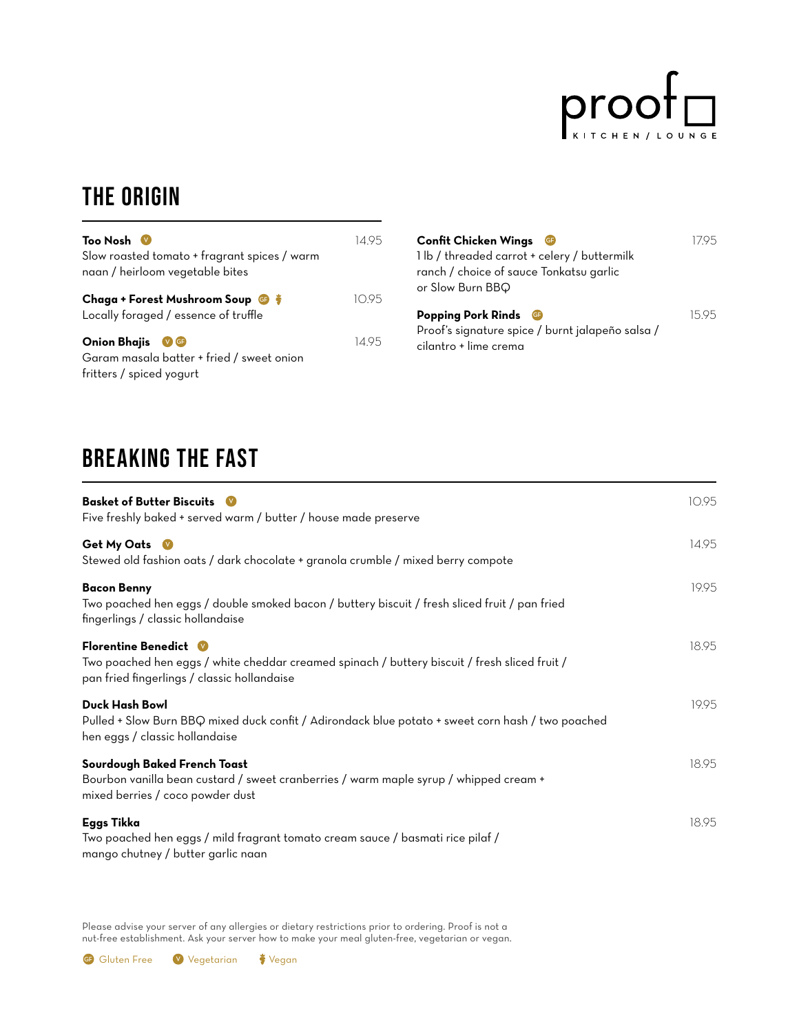

### THE ORIGIN

| Too Nosh V<br>Slow roasted tomato + fragrant spices / warm                                             | 14.95 | <b>Confit Chicken Wing</b><br>1 lb / threaded carro |
|--------------------------------------------------------------------------------------------------------|-------|-----------------------------------------------------|
| naan / heirloom vegetable bites<br>Chaga + Forest Mushroom Soup <b>G</b>                               | 10.95 | ranch / choice of sau<br>or Slow Burn BBQ           |
| Locally foraged / essence of truffle                                                                   |       | <b>Popping Pork Rinds</b><br>Proof's signature spic |
| <b>Onion Bhajis</b><br>$V$ GF<br>Garam masala batter + fried / sweet onion<br>fritters / spiced yogurt | 14.95 | cilantro + lime crema                               |

| Confit Chicken Wings <b>G</b>                                                                               |       |
|-------------------------------------------------------------------------------------------------------------|-------|
| 1 lb / threaded carrot + celery / buttermilk<br>ranch / choice of sauce Tonkatsu garlic<br>or Slow Burn BBQ |       |
|                                                                                                             |       |
| <b>Popping Pork Rinds</b><br>Œ<br>Proof's signature spice / burnt jalapeño salsa /<br>cilantro + lime crema | 15.95 |

# BREAKING THE FAST

| <b>Basket of Butter Biscuits</b><br>Five freshly baked + served warm / butter / house made preserve                                                                          | 10.95 |
|------------------------------------------------------------------------------------------------------------------------------------------------------------------------------|-------|
| Get My Oats V<br>Stewed old fashion oats / dark chocolate + granola crumble / mixed berry compote                                                                            | 14.95 |
| <b>Bacon Benny</b><br>Two poached hen eggs / double smoked bacon / buttery biscuit / fresh sliced fruit / pan fried<br>fingerlings / classic hollandaise                     | 19.95 |
| <b>Florentine Benedict W</b><br>Two poached hen eggs / white cheddar creamed spinach / buttery biscuit / fresh sliced fruit /<br>pan fried fingerlings / classic hollandaise | 18.95 |
| <b>Duck Hash Bowl</b><br>Pulled + Slow Burn BBQ mixed duck confit / Adirondack blue potato + sweet corn hash / two poached<br>hen eggs / classic hollandaise                 | 19.95 |
| Sourdough Baked French Toast<br>Bourbon vanilla bean custard / sweet cranberries / warm maple syrup / whipped cream +<br>mixed berries / coco powder dust                    | 18.95 |
| <b>Eggs Tikka</b><br>Two poached hen eggs / mild fragrant tomato cream sauce / basmati rice pilaf /<br>mango chutney / butter garlic naan                                    | 18.95 |

Please advise your server of any allergies or dietary restrictions prior to ordering. Proof is not a nut-free establishment. Ask your server how to make your meal gluten-free, vegetarian or vegan.